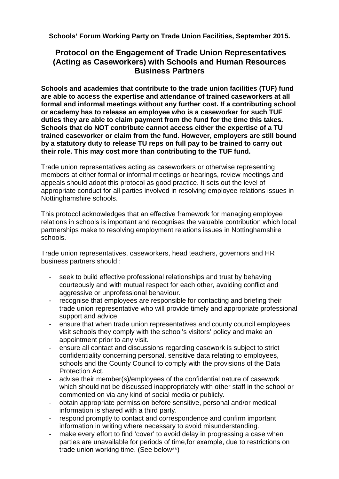**Schools' Forum Working Party on Trade Union Facilities, September 2015.** 

## **Protocol on the Engagement of Trade Union Representatives (Acting as Caseworkers) with Schools and Human Resources Business Partners**

**Schools and academies that contribute to the trade union facilities (TUF) fund are able to access the expertise and attendance of trained caseworkers at all formal and informal meetings without any further cost. If a contributing school or academy has to release an employee who is a caseworker for such TUF duties they are able to claim payment from the fund for the time this takes. Schools that do NOT contribute cannot access either the expertise of a TU trained caseworker or claim from the fund. However, employers are still bound by a statutory duty to release TU reps on full pay to be trained to carry out their role. This may cost more than contributing to the TUF fund.** 

Trade union representatives acting as caseworkers or otherwise representing members at either formal or informal meetings or hearings, review meetings and appeals should adopt this protocol as good practice. It sets out the level of appropriate conduct for all parties involved in resolving employee relations issues in Nottinghamshire schools.

This protocol acknowledges that an effective framework for managing employee relations in schools is important and recognises the valuable contribution which local partnerships make to resolving employment relations issues in Nottinghamshire schools.

Trade union representatives, caseworkers, head teachers, governors and HR business partners should :

- seek to build effective professional relationships and trust by behaving courteously and with mutual respect for each other, avoiding conflict and aggressive or unprofessional behaviour.
- recognise that employees are responsible for contacting and briefing their trade union representative who will provide timely and appropriate professional support and advice.
- ensure that when trade union representatives and county council employees visit schools they comply with the school's visitors' policy and make an appointment prior to any visit.
- ensure all contact and discussions regarding casework is subject to strict confidentiality concerning personal, sensitive data relating to employees, schools and the County Council to comply with the provisions of the Data Protection Act.
- advise their member(s)/employees of the confidential nature of casework which should not be discussed inappropriately with other staff in the school or commented on via any kind of social media or publicly.
- obtain appropriate permission before sensitive, personal and/or medical information is shared with a third party.
- respond promptly to contact and correspondence and confirm important information in writing where necessary to avoid misunderstanding.
- make every effort to find 'cover' to avoid delay in progressing a case when parties are unavailable for periods of time,for example, due to restrictions on trade union working time. (See below\*\*)